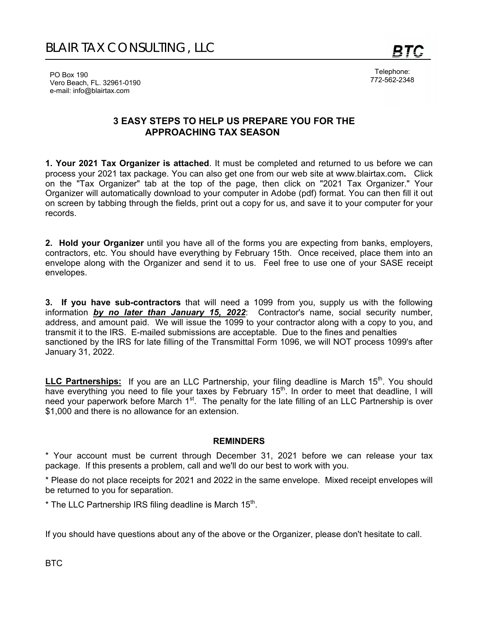Telephone: 772-562-2348

PO Box 190 Vero Beach, FL. 32961-0190 e-mail: info@blairtax.com

## **3 EASY STEPS TO HELP US PREPARE YOU FOR THE APPROACHING TAX SEASON**

**1. Your 2021 Tax Organizer is attached**. It must be completed and returned to us before we can process your 2021 tax package. You can also get one from our web site at www.blairtax.com**.** Click on the "Tax Organizer" tab at the top of the page, then click on "2021 Tax Organizer." Your Organizer will automatically download to your computer in Adobe (pdf) format. You can then fill it out on screen by tabbing through the fields, print out a copy for us, and save it to your computer for your records.

**2. Hold your Organizer** until you have all of the forms you are expecting from banks, employers, contractors, etc. You should have everything by February 15th. Once received, place them into an envelope along with the Organizer and send it to us. Feel free to use one of your SASE receipt envelopes.

**3. If you have sub-contractors** that will need a 1099 from you, supply us with the following information *by no later than January 15, 2022*: Contractor's name, social security number, address, and amount paid. We will issue the 1099 to your contractor along with a copy to you, and transmit it to the IRS. E-mailed submissions are acceptable. Due to the fines and penalties sanctioned by the IRS for late filling of the Transmittal Form 1096, we will NOT process 1099's after January 31, 2022.

LLC Partnerships: If you are an LLC Partnership, your filing deadline is March 15<sup>th</sup>. You should have everything you need to file your taxes by February 15<sup>th</sup>. In order to meet that deadline, I will need your paperwork before March 1<sup>st</sup>. The penalty for the late filling of an LLC Partnership is over \$1,000 and there is no allowance for an extension.

#### **REMINDERS**

\* Your account must be current through December 31, 2021 before we can release your tax package. If this presents a problem, call and we'll do our best to work with you.

\* Please do not place receipts for 2021 and 2022 in the same envelope. Mixed receipt envelopes will be returned to you for separation.

 $*$  The LLC Partnership IRS filing deadline is March 15<sup>th</sup>.

If you should have questions about any of the above or the Organizer, please don't hesitate to call.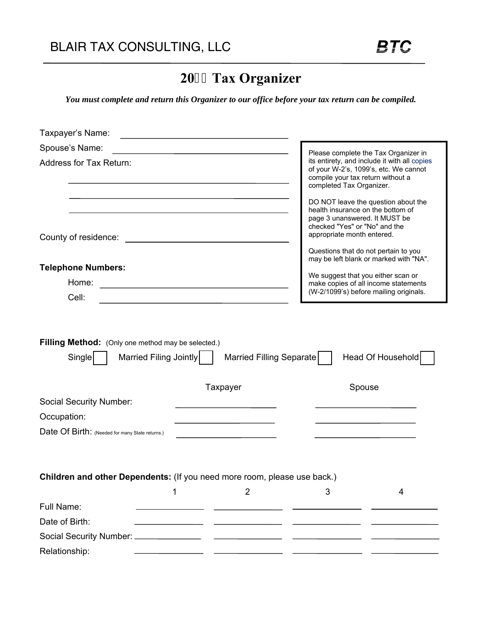# **20 Tax Organizer**

*You must complete and return this Organizer to our office before your tax return can be compiled.* 

| Taxpayer's Name:                                                         |                                                      |                                                                                                                                                                                                                                                            |
|--------------------------------------------------------------------------|------------------------------------------------------|------------------------------------------------------------------------------------------------------------------------------------------------------------------------------------------------------------------------------------------------------------|
| Spouse's Name:                                                           |                                                      | Please complete the Tax Organizer in                                                                                                                                                                                                                       |
| <b>Address for Tax Return:</b>                                           |                                                      | its entirety, and include it with all copies<br>of your W-2's, 1099's, etc. We cannot<br>compile your tax return without a<br>completed Tax Organizer.                                                                                                     |
| County of residence:                                                     |                                                      | DO NOT leave the question about the<br>health insurance on the bottom of<br>page 3 unanswered. It MUST be<br>checked "Yes" or "No" and the<br>appropriate month entered.<br>Questions that do not pertain to you<br>may be left blank or marked with "NA". |
| <b>Telephone Numbers:</b>                                                |                                                      | We suggest that you either scan or                                                                                                                                                                                                                         |
| Home:                                                                    | <u> 1980 - Johann Barn, fransk politik (d. 1980)</u> | make copies of all income statements                                                                                                                                                                                                                       |
| Cell:                                                                    |                                                      | (W-2/1099's) before mailing originals.                                                                                                                                                                                                                     |
| Single<br>Married Filing Jointly                                         | Married Filling Separate<br>Taxpayer                 | Head Of Household<br>Spouse                                                                                                                                                                                                                                |
| <b>Social Security Number:</b>                                           |                                                      |                                                                                                                                                                                                                                                            |
| Occupation:                                                              |                                                      |                                                                                                                                                                                                                                                            |
| Date Of Birth: (Needed for many State returns.)                          |                                                      |                                                                                                                                                                                                                                                            |
| Children and other Dependents: (If you need more room, please use back.) |                                                      |                                                                                                                                                                                                                                                            |
|                                                                          | $\overline{2}$<br>1                                  | 3<br>4                                                                                                                                                                                                                                                     |
| Full Name:                                                               |                                                      |                                                                                                                                                                                                                                                            |
| Date of Birth:                                                           |                                                      |                                                                                                                                                                                                                                                            |
| Social Security Number: _______________                                  |                                                      |                                                                                                                                                                                                                                                            |
| Relationship:                                                            |                                                      |                                                                                                                                                                                                                                                            |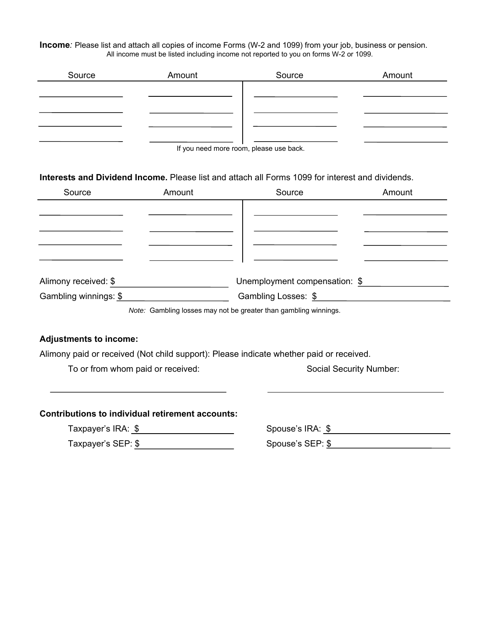**Income***:* Please list and attach all copies of income Forms (W-2 and 1099) from your job, business or pension. All income must be listed including income not reported to you on forms W-2 or 1099.

| Source | Amount                                 | Source | Amount |
|--------|----------------------------------------|--------|--------|
|        |                                        |        |        |
|        |                                        |        |        |
|        |                                        |        |        |
|        |                                        |        |        |
|        | If you need more room, please use hack |        |        |

If you need more room, please use back.

**Interests and Dividend Income.** Please list and attach all Forms 1099 for interest and dividends.

| Source                                                           | Amount | Source                        | Amount |  |
|------------------------------------------------------------------|--------|-------------------------------|--------|--|
|                                                                  |        |                               |        |  |
|                                                                  |        |                               |        |  |
|                                                                  |        |                               |        |  |
|                                                                  |        |                               |        |  |
|                                                                  |        |                               |        |  |
| Alimony received: \$                                             |        | Unemployment compensation: \$ |        |  |
| Gambling winnings: \$                                            |        | Gambling Losses: \$           |        |  |
| Note: Gambling losses may not be greater than gambling winnings. |        |                               |        |  |

#### **Adjustments to income:**

Alimony paid or received (Not child support): Please indicate whether paid or received.

To or from whom paid or received: Social Security Number:

#### **Contributions to individual retirement accounts:**

 Taxpayer's IRA: \$ Spouse's IRA: \$ Taxpayer's SEP: \$ Spouse's SEP: \$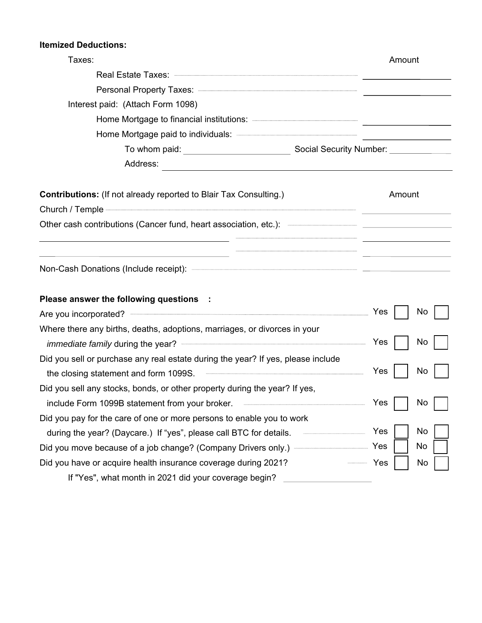### **Itemized Deductions:**

| Taxes:                                                                                                                                                                                                                               | Amount                                                                                                                |
|--------------------------------------------------------------------------------------------------------------------------------------------------------------------------------------------------------------------------------------|-----------------------------------------------------------------------------------------------------------------------|
| Real Estate Taxes: New York State Taxes: New York State Taxes: New York State Taxes                                                                                                                                                  |                                                                                                                       |
|                                                                                                                                                                                                                                      |                                                                                                                       |
| Interest paid: (Attach Form 1098)                                                                                                                                                                                                    |                                                                                                                       |
|                                                                                                                                                                                                                                      |                                                                                                                       |
|                                                                                                                                                                                                                                      |                                                                                                                       |
|                                                                                                                                                                                                                                      |                                                                                                                       |
|                                                                                                                                                                                                                                      |                                                                                                                       |
| <b>Contributions:</b> (If not already reported to Blair Tax Consulting.)                                                                                                                                                             | Amount                                                                                                                |
|                                                                                                                                                                                                                                      |                                                                                                                       |
| Other cash contributions (Cancer fund, heart association, etc.): ————————————————————<br><u> 1980 - Jan Sterling av Sterling av Sterling av Sterling av Sterling av Sterling av Sterling av Sterling av S</u>                        |                                                                                                                       |
| <u> 1989 - Johann Barn, mars eta bainar eta baina eta baina eta baina eta baina eta baina eta baina eta baina e</u>                                                                                                                  | <u> 1999 - Johann Harry Harry Harry Harry Harry Harry Harry Harry Harry Harry Harry Harry Harry Harry Harry Harry</u> |
| Please answer the following questions :                                                                                                                                                                                              |                                                                                                                       |
|                                                                                                                                                                                                                                      | Yes<br>No.                                                                                                            |
| Where there any births, deaths, adoptions, marriages, or divorces in your                                                                                                                                                            |                                                                                                                       |
| immediate family during the year? <b>Constant of the set of the set of the set of the set of the set of the set of the set of the set of the set of the set of the set of the set of the set of the set of the set of the set of</b> | Yes<br>No                                                                                                             |
| Did you sell or purchase any real estate during the year? If yes, please include                                                                                                                                                     |                                                                                                                       |
| the closing statement and form 1099S.                                                                                                                                                                                                | Yes<br>No                                                                                                             |
| Did you sell any stocks, bonds, or other property during the year? If yes,                                                                                                                                                           |                                                                                                                       |
| include Form 1099B statement from your broker. <b>All any contract of the statement of the statement of the statement</b>                                                                                                            | Yes<br>No                                                                                                             |
| Did you pay for the care of one or more persons to enable you to work                                                                                                                                                                |                                                                                                                       |
| during the year? (Daycare.) If "yes", please call BTC for details.                                                                                                                                                                   | No<br>Yes                                                                                                             |
| Did you move because of a job change? (Company Drivers only.) ——                                                                                                                                                                     | No<br>Yes                                                                                                             |
| Did you have or acquire health insurance coverage during 2021?                                                                                                                                                                       | Yes<br>No                                                                                                             |
| If "Yes", what month in 2021 did your coverage begin?                                                                                                                                                                                |                                                                                                                       |